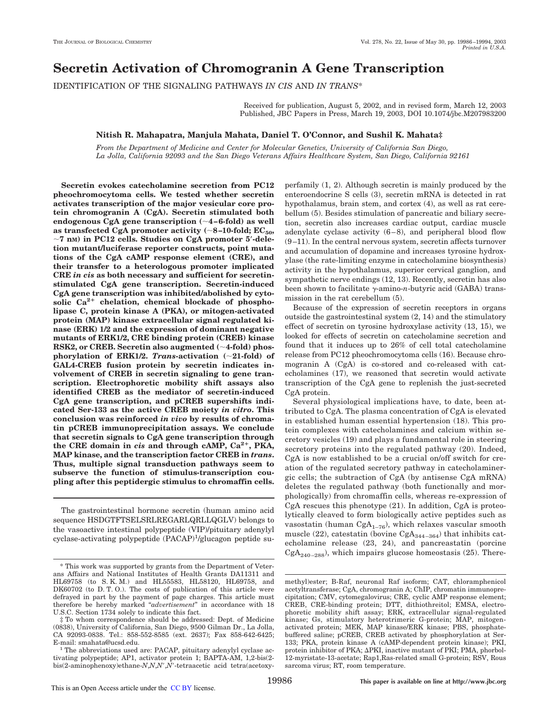# **Secretin Activation of Chromogranin A Gene Transcription**

IDENTIFICATION OF THE SIGNALING PATHWAYS *IN CIS* AND *IN TRANS*\*

Received for publication, August 5, 2002, and in revised form, March 12, 2003 Published, JBC Papers in Press, March 19, 2003, DOI 10.1074/jbc.M207983200

## **Nitish R. Mahapatra, Manjula Mahata, Daniel T. O'Connor, and Sushil K. Mahata‡**

*From the Department of Medicine and Center for Molecular Genetics, University of California San Diego, La Jolla, California 92093 and the San Diego Veterans Affairs Healthcare System, San Diego, California 92161*

**Secretin evokes catecholamine secretion from PC12 pheochromocytoma cells. We tested whether secretin activates transcription of the major vesicular core protein chromogranin A (CgA). Secretin stimulated both endogenous CgA gene transcription (4–6-fold) as well** as transfected CgA promoter activity  $(~8-10$ -fold;  $EC_{50}$ **7 nM) in PC12 cells. Studies on CgA promoter 5-deletion mutant/luciferase reporter constructs, point mutations of the CgA cAMP response element (CRE), and their transfer to a heterologous promoter implicated CRE** *in cis* **as both necessary and sufficient for secretinstimulated CgA gene transcription. Secretin-induced CgA gene transcription was inhibited/abolished by cyto**solic Ca<sup>2+</sup> chelation, chemical blockade of phospho**lipase C, protein kinase A (PKA), or mitogen-activated protein (MAP) kinase extracellular signal regulated kinase (ERK) 1/2 and the expression of dominant negative mutants of ERK1/2, CRE binding protein (CREB) kinase RSK2, or CREB. Secretin also augmented (4-fold) phosphorylation of ERK1/2.** *Trans***-activation (21-fold) of GAL4-CREB fusion protein by secretin indicates involvement of CREB in secretin signaling to gene transcription. Electrophoretic mobility shift assays also identified CREB as the mediator of secretin-induced CgA gene transcription, and pCREB supershifts indicated Ser-133 as the active CREB moiety** *in vitro***. This conclusion was reinforced** *in vivo* **by results of chromatin pCREB immunoprecipitation assays. We conclude that secretin signals to CgA gene transcription through** the CRE domain in *cis* and through cAMP,  $Ca^{2+}$ , PKA, **MAP kinase, and the transcription factor CREB in** *trans***. Thus, multiple signal transduction pathways seem to subserve the function of stimulus-transcription coupling after this peptidergic stimulus to chromaffin cells.**

The gastrointestinal hormone secretin (human amino acid sequence HSDGTFTSELSRLREGARLQRLLQGLV) belongs to the vasoactive intestinal polypeptide (VIP)/pituitary adenylyl cyclase-activating polypeptide (PACAP)<sup>1</sup>/glucagon peptide su-

perfamily (1, 2). Although secretin is mainly produced by the enteroendocrine S cells (3), secretin mRNA is detected in rat hypothalamus, brain stem, and cortex  $(4)$ , as well as rat cerebellum (5). Besides stimulation of pancreatic and biliary secretion, secretin also increases cardiac output, cardiac muscle adenylate cyclase activity (6–8), and peripheral blood flow (9–11). In the central nervous system, secretin affects turnover and accumulation of dopamine and increases tyrosine hydroxylase (the rate-limiting enzyme in catecholamine biosynthesis) activity in the hypothalamus, superior cervical ganglion, and sympathetic nerve endings (12, 13). Recently, secretin has also been shown to facilitate  $\gamma$ -amino-*n*-butyric acid (GABA) transmission in the rat cerebellum (5).

Because of the expression of secretin receptors in organs outside the gastrointestinal system (2, 14) and the stimulatory effect of secretin on tyrosine hydroxylase activity (13, 15), we looked for effects of secretin on catecholamine secretion and found that it induces up to 26% of cell total catecholamine release from PC12 pheochromocytoma cells (16). Because chromogranin A (CgA) is co-stored and co-released with catecholamines (17), we reasoned that secretin would activate transcription of the CgA gene to replenish the just-secreted CgA protein.

Several physiological implications have, to date, been attributed to CgA. The plasma concentration of CgA is elevated in established human essential hypertension (18). This protein complexes with catecholamines and calcium within secretory vesicles (19) and plays a fundamental role in steering secretory proteins into the regulated pathway (20). Indeed, CgA is now established to be a crucial on/off switch for creation of the regulated secretory pathway in catecholaminergic cells; the subtraction of CgA (by antisense CgA mRNA) deletes the regulated pathway (both functionally and morphologically) from chromaffin cells, whereas re-expression of CgA rescues this phenotype (21). In addition, CgA is proteolytically cleaved to form biologically active peptides such as vasostatin (human CgA<sub>1–76</sub>), which relaxes vascular smooth muscle (22), catestatin (bovine  $CgA_{344-364}$ ) that inhibits catecholamine release (23, 24), and pancreastatin (porcine  $CgA_{240-288}$ , which impairs glucose homeostasis (25). There-

<sup>\*</sup> This work was supported by grants from the Department of Veterans Affairs and National Institutes of Health Grants DA11311 and HL69758 (to S. K. M.) and HL55583, HL58120, HL69758, and DK60702 (to D.T.O.). The costs of publication of this article were defrayed in part by the payment of page charges. This article must therefore be hereby marked "*advertisement*" in accordance with 18 U.S.C. Section 1734 solely to indicate this fact.

<sup>‡</sup> To whom correspondence should be addressed: Dept. of Medicine (0838), University of California, San Diego, 9500 Gilman Dr., La Jolla, CA 92093-0838. Tel.: 858-552-8585 (ext. 2637); Fax 858-642-6425; E-mail: smahata@ucsd.edu.

<sup>1</sup> The abbreviations used are: PACAP, pituitary adenylyl cyclase activating polypeptide; AP1, activator protein 1; BAPTA-AM, 1,2-bis(2 bis(2-aminophenoxy)ethane-*N*,*N*,*N*-,*N*--tetraacetic acid tetra(acetoxy-

methyl)ester; B-Raf, neuronal Raf isoform; CAT, chloramphenicol acetyltransferase; CgA, chromogranin A; ChIP, chromatin immunoprecipitation; CMV, cytomegalovirus; CRE, cyclic AMP response element; CREB, CRE-binding protein; DTT, dithiothreitol; EMSA, electrophoretic mobility shift assay; ERK, extracellular signal-regulated kinase; Gs, stimulatory heterotrimeric G-protein; MAP, mitogenactivated protein; MEK, MAP kinase/ERK kinase; PBS, phosphatebuffered saline; pCREB, CREB activated by phosphorylation at Ser-133; PKA, protein kinase A (cAMP-dependent protein kinase); PKI, protein inhibitor of PKA;  $\Delta$ PKI, inactive mutant of PKI; PMA, phorbol-12-myristate-13-acetate; Rap1,Ras-related small G-protein; RSV, Rous sarcoma virus; RT, room temperature.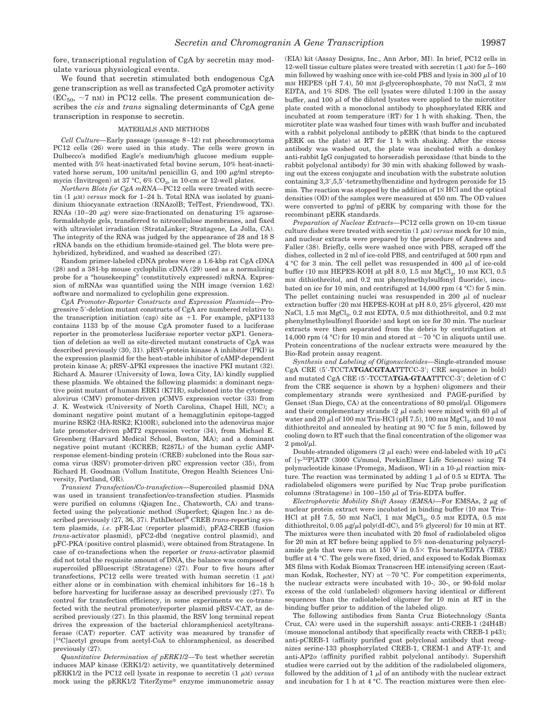fore, transcriptional regulation of CgA by secretin may modulate various physiological events.

We found that secretin stimulated both endogenous CgA gene transcription as well as transfected CgA promoter activity  $(EC_{50}$ , ~7 nm) in PC12 cells. The present communication describes the *cis* and *trans* signaling determinants of CgA gene transcription in response to secretin.

#### MATERIALS AND METHODS

*Cell Culture—*Early passage (passage 8–12) rat pheochromocytoma PC12 cells (26) were used in this study. The cells were grown in Dulbecco's modified Eagle's medium/high glucose medium supplemented with 5% heat-inactivated fetal bovine serum, 10% heat-inactivated horse serum, 100 units/ml penicillin G, and 100  $\mu$ g/ml streptomycin (Invitrogen) at 37 °C, 6%  $CO_2$ , in 10-cm or 12-well plates.

*Northern Blots for CgA mRNA—*PC12 cells were treated with secretin  $(1 \mu M)$  *versus* mock for 1–24 h. Total RNA was isolated by guanidinium thiocyanate extraction (RNAzolB; TelTest, Friendswood, TX). RNAs  $(10-20 \mu g)$  were size-fractionated on denaturing  $1\%$  agaroseformaldehyde gels, transferred to nitrocellulose membranes, and fixed with ultraviolet irradiation (StrataLinker; Stratagene, La Jolla, CA). The integrity of the RNA was judged by the appearance of 28 and 18 S rRNA bands on the ethidium bromide-stained gel. The blots were prehybridized, hybridized, and washed as described (27).

Random primer-labeled cDNA probes were a 1.6-kbp rat CgA cDNA (28) and a 381-bp mouse cyclophilin cDNA (29) used as a normalizing probe for a "housekeeping" (constitutively expressed) mRNA. Expression of mRNAs was quantified using the NIH image (version 1.62) software and normalized to cyclophilin gene expression.

*CgA Promoter-Reporter Constructs and Expression Plasmids—*Progressive 5--deletion mutant constructs of CgA are numbered relative to the transcription initiation (cap) site as  $+1$ . For example, pXP1133 contains 1133 bp of the mouse CgA promoter fused to a luciferase reporter in the promoterless luciferase reporter vector pXP1. Generation of deletion as well as site-directed mutant constructs of CgA was described previously (30, 31). pRSV-protein kinase A inhibitor (PKI) is the expression plasmid for the heat-stable inhibitor of cAMP-dependent protein kinase A;  $pRSV\Delta PKI$  expresses the inactive PKI mutant (32). Richard A. Maurer (University of Iowa, Iowa City, IA) kindly supplied these plasmids. We obtained the following plasmids: a dominant negative point mutant of human ERK1 (K71R), subcloned into the cytomegalovirus (CMV) promoter-driven pCMV5 expression vector (33) from J. K. Westwick (University of North Carolina, Chapel Hill, NC); a dominant negative point mutant of a hemagglutinin epitope-tagged murine RSK2 (HA-RSK2; K100R), subcloned into the adenovirus major late promoter-driven pMT2 expression vector (34), from Michael E. Greenberg (Harvard Medical School, Boston, MA); and a dominant negative point mutant (KCREB; R287L) of the human cyclic AMPresponse element-binding protein (CREB) subcloned into the Rous sarcoma virus (RSV) promoter-driven pRC expression vector (35), from Richard H. Goodman (Vollum Institute, Oregon Health Sciences University, Portland, OR).

*Transient Transfection*/*Co-transfection—*Supercoiled plasmid DNA was used in transient transfection/co-transfection studies. Plasmids were purified on columns (Qiagen Inc., Chatsworth, CA) and transfected using the polycationic method (Superfect; Qiagen Inc.) as described previously (27, 36, 37). PathDetect® CREB *trans*-reporting system plasmids, *i.e.* pFR-Luc (reporter plasmid), pFA2-CREB (fusion *trans*-activator plasmid), pFC2-dbd (negative control plasmid), and pFC-PKA (positive control plasmid), were obtained from Stratagene. In case of co-transfections when the reporter or *trans*-activator plasmid did not total the requisite amount of DNA, the balance was composed of supercoiled pBluescript (Stratagene) (27). Four to five hours after transfections, PC12 cells were treated with human secretin  $(1 \mu M)$ either alone or in combination with chemical inhibitors for 16–18 h before harvesting for luciferase assay as described previously (27). To control for transfection efficiency, in some experiments we co-transfected with the neutral promoter/reporter plasmid pRSV-CAT, as described previously (27). In this plasmid, the RSV long terminal repeat drives the expression of the bacterial chloramphenicol acetyltransferase (CAT) reporter. CAT activity was measured by transfer of [ <sup>14</sup>C]acetyl groups from acetyl-CoA to chloramphenicol, as described previously (27).

*Quantitative Determination of pERK1*/*2—*To test whether secretin induces MAP kinase (ERK1/2) activity, we quantitatively determined  $pERK1/2$  in the PC12 cell lysate in response to secretin  $(1 \mu)$  *versus* mock using the pERK1/2 TiterZyme® enzyme immunometric assay (EIA) kit (Assay Designs, Inc., Ann Arbor, MI). In brief, PC12 cells in 12-well tissue culture plates were treated with secretin  $(1 \mu M)$  for 5–160 min followed by washing once with ice-cold PBS and lysis in 300  $\mu$ l of 10  $mm$  HEPES (pH 7.4), 50 mM  $\beta$ -glycerophosphate, 70 mM NaCl, 2 mM EDTA, and 1% SDS. The cell lysates were diluted 1:100 in the assay buffer, and 100  $\mu$ l of the diluted lysates were applied to the microtiter plate coated with a monoclonal antibody to phosphorylated ERK and incubated at room temperature (RT) for 1 h with shaking. Then, the microtiter plate was washed four times with wash buffer and incubated with a rabbit polyclonal antibody to pERK (that binds to the captured pERK on the plate) at RT for 1 h with shaking. After the excess antibody was washed out, the plate was incubated with a donkey anti-rabbit IgG conjugated to horseradish peroxidase (that binds to the rabbit polyclonal antibody) for 30 min with shaking followed by washing out the excess conjugate and incubation with the substrate solution containing 3,3-,5,5--tetramethylbenzidine and hydrogen peroxide for 15 min. The reaction was stopped by the addition of 1N HCl and the optical densities (OD) of the samples were measured at 450 nm. The OD values were converted to pg/ml of pERK by comparing with those for the recombinant pERK standards.

*Preparation of Nuclear Extracts—*PC12 cells grown on 10-cm tissue culture dishes were treated with secretin  $(1 \mu M)$  *versus* mock for 10 min, and nuclear extracts were prepared by the procedure of Andrews and Faller (38). Briefly, cells were washed once with PBS, scraped off the dishes, collected in 2 ml of ice-cold PBS, and centrifuged at 500 rpm and  $4^{\circ}$ C for 3 min. The cell pellet was resuspended in 400  $\mu$ l of ice-cold buffer (10 mm HEPES-KOH at pH 8.0, 1.5 mm  $MgCl<sub>2</sub>$ , 10 mm KCl, 0.5 mM dithiothreitol, and 0.2 mM phenylmethylsulfonyl fluoride), incubated on ice for 10 min, and centrifuged at 14,000 rpm (4 °C) for 5 min. The pellet containing nuclei was resuspended in 200  $\mu$ l of nuclear extraction buffer (20 mM HEPES-KOH at pH 8.0, 25% glycerol, 420 mM NaCl, 1.5 mm  ${ {\rm MgCl}_2}$ , 0.2 mm EDTA, 0.5 mm dithiothreitol, and 0.2 mm phenylmethylsulfonyl fluoride) and kept on ice for 30 min. The nuclear extracts were then separated from the debris by centrifugation at 14,000 rpm (4 °C) for 10 min and stored at  $-70$  °C in aliquots until use. Protein concentrations of the nuclear extracts were measured by the Bio-Rad protein assay reagent.

*Synthesis and Labeling of Oligonucleotides—*Single-stranded mouse CgA CRE (5'-TCCTATGACGTAATTTCC-3'; CRE sequence in bold) and mutated CgA CRE (5'-TCCTATGA-GTAATTTCC-3'; deletion of C from the CRE sequence is shown by a hyphen) oligomers and their complementary strands were synthesized and PAGE-purified by Genset (San Diego, CA) at the concentrations of 80 pmol/ $\mu$ l. Oligomers and their complementary strands  $(2 \mu l \text{ each})$  were mixed with 60  $\mu l$  of water and 20  $\mu$ l of 100 mm Tris-HCl (pH 7.5), 100 mm  $\mathrm{MgCl}_2$ , and 10 mm dithiothreitol and annealed by heating at 90 °C for 5 min, followed by cooling down to RT such that the final concentration of the oligomer was  $2 \text{ pmol}/\mu$ l.

Double-stranded oligomers  $(2 \mu l \text{ each})$  were end-labeled with 10  $\mu$ Ci of [ $\gamma$ -<sup>32</sup>P]ATP (3000 Ci/mmol, PerkinElmer Life Sciences) using T4 polynucleotide kinase (Promega, Madison, WI) in a  $10$ - $\mu$ l reaction mixture. The reaction was terminated by adding  $1 \mu$  of 0.5 M EDTA. The radiolabeled oligomers were purified by Nuc Trap probe purification columns (Stratagene) in  $100-150$   $\mu$ l of Tris-EDTA buffer.

*Electrophoretic Mobility Shift Assay (EMSA)*—For EMSAs, 2 μg of nuclear protein extract were incubated in binding buffer (10 mM Tris-HCl at pH 7.5, 50 mm NaCl, 1 mm  $MgCl<sub>2</sub>$ , 0.5 mm EDTA, 0.5 mm dithiothreitol, 0.05  $\mu$ g/ $\mu$ l poly(dI-dC), and 5% glycerol) for 10 min at RT. The mixtures were then incubated with 20 fmol of radiolabeled oligos for 20 min at RT before being applied to 5% non-denaturing polyacrylamide gels that were run at 150 V in  $0.5 \times$  Tris borate/EDTA (TBE) buffer at 4 °C. The gels were fixed, dried, and exposed to Kodak Biomax MS films with Kodak Biomax Transcreen HE intensifying screen (Eastman Kodak, Rochester, NY) at  $-70$  °C. For competition experiments, the nuclear extracts were incubated with 10-, 30-, or 90-fold molar excess of the cold (unlabeled) oligomers having identical or different sequences than the radiolabeled oligomer for 10 min at RT in the binding buffer prior to addition of the labeled oligo.

The following antibodies from Santa Cruz Biotechnology (Santa Cruz, CA) were used in the supershift assays: anti-CREB-1 (24H4B) (mouse monoclonal antibody that specifically reacts with CREB-1 p43); anti-pCREB-1 (affinity purified goat polyclonal antibody that recognizes serine-133 phosphorylated CREB-1, CREM-1 and ATF-1); and anti-AP2 $\alpha$  (affinity purified rabbit polyclonal antibody). Supershift studies were carried out by the addition of the radiolabeled oligomers, followed by the addition of  $1 \mu$  of an antibody with the nuclear extract and incubation for 1 h at  $4^{\circ}$ C. The reaction mixtures were then elec-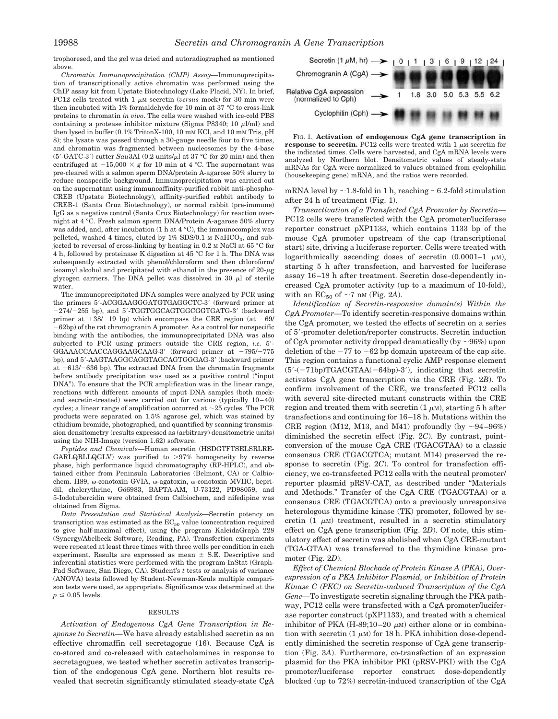trophoresed, and the gel was dried and autoradiographed as mentioned above.

*Chromatin Immunoprecipitation (ChIP) Assay—*Immunoprecipitation of transcriptionally active chromatin was performed using the ChIP assay kit from Upstate Biotechnology (Lake Placid, NY). In brief, PC12 cells treated with  $1 \mu$ M secretin (*versus* mock) for 30 min were then incubated with 1% formaldehyde for 10 min at 37 °C to cross-link proteins to chromatin *in vivo*. The cells were washed with ice-cold PBS containing a protease inhibitor mixture (Sigma P8340; 10  $\mu$ l/ml) and then lysed in buffer (0.1% TritonX-100, 10 mM KCl, and 10 mM Tris, pH 8); the lysate was passed through a 30-gauge needle four to five times, and chromatin was fragmented between nucleosomes by the 4-base (5'-GATC-3') cutter *Sau3AI* (0.2 units/ $\mu$ l at 37 °C for 20 min) and then centrifuged at  $\sim$ 15,000  $\times$  g for 10 min at 4 °C. The supernatant was pre-cleared with a salmon sperm DNA/protein A-agarose 50% slurry to reduce nonspecific background. Immunoprecipitation was carried out on the supernatant using immunoaffinity-purified rabbit anti-phospho-CREB (Upstate Biotechnology), affinity-purified rabbit antibody to CREB-1 (Santa Cruz Biotechnology), or normal rabbit (pre-immune) IgG as a negative control (Santa Cruz Biotechnology) for reaction overnight at 4 °C. Fresh salmon sperm DNA/Protein A-agarose 50% slurry was added, and, after incubation (1 h at 4 °C), the immunocomplex was pelleted, washed 4 times, eluted by  $1\%$  SDS/0.1 M  $\mathrm{NaHCO}_3$ , and subjected to reversal of cross-linking by heating in 0.2 M NaCl at 65 °C for 4 h, followed by proteinase K digestion at 45 °C for 1 h. The DNA was subsequently extracted with phenol/chloroform and then chloroform/ isoamyl alcohol and precipitated with ethanol in the presence of  $20$ - $\mu$ g glycogen carriers. The DNA pellet was dissolved in 30  $\mu$ l of sterile water.

The immunoprecipitated DNA samples were analyzed by PCR using the primers 5'-ACGGAAGGGATGTGAGGCTC-3' (forward primer at -274/-255 bp), and 5'-TGGTGGCAGTGGCGGTGATG-3' (backward primer at  $+38/-19$  bp) which encompass the CRE region (at  $-69/$ 62bp) of the rat chromogranin A promoter. As a control for nonspecific binding with the antibodies, the immunoprecipitated DNA was also subjected to PCR using primers outside the CRE region, *i.e.* 5'-GGAAACCAACCAGGAAGCAAG-3' (forward primer at -795/-775 bp), and 5'-AAGTAAGGCAGGTAGCAGTGGGAG-3' (backward primer at  $-613/-636$  bp). The extracted DNA from the chromatin fragments before antibody precipitation was used as a positive control ("input DNA"). To ensure that the PCR amplification was in the linear range, reactions with different amounts of input DNA samples (both mockand secretin-treated) were carried out for various (typically 10–40) cycles; a linear range of amplification occurred at  $\sim$  25 cycles. The PCR products were separated on 1.5% agarose gel, which was stained by ethidium bromide, photographed, and quantified by scanning transmission densitometry (results expressed as (arbitrary) densitometric units) using the NIH-Image (version 1.62) software.

*Peptides and Chemicals—*Human secretin (HSDGTFTSELSRLRE-GARLQRLLQGLV) was purified to >97% homogeneity by reverse phase, high performance liquid chromatography (RP-HPLC), and obtained either from Peninsula Laboratories (Belmont, CA) or Calbiochem. H89, ω-conotoxin GVIA, ω-agatoxin, ω-conotoxin MVIIC, bepridil, chelerythrine, Gö6983, BAPTA-AM, U-73122, PD98059, and 5-Iodotubercidin were obtained from Calbiochem, and nifedipine was obtained from Sigma.

*Data Presentation and Statistical Analysis—*Secretin potency on transcription was estimated as the  $EC_{50}$  value (concentration required to give half-maximal effect), using the program KaleidaGraph 228 (Synergy/Abelbeck Software, Reading, PA). Transfection experiments were repeated at least three times with three wells per condition in each experiment. Results are expressed as mean  $\pm$  S.E. Descriptive and inferential statistics were performed with the program InStat (Graph-Pad Software, San Diego, CA). Student's *t* tests or analysis of variance (ANOVA) tests followed by Student-Newman-Keuls multiple comparison tests were used, as appropriate. Significance was determined at the  $p \leq 0.05$  levels.

#### RESULTS

*Activation of Endogenous CgA Gene Transcription in Response to Secretin—*We have already established secretin as an effective chromaffin cell secretagogue (16). Because CgA is co-stored and co-released with catecholamines in response to secretagogues, we tested whether secretin activates transcription of the endogenous CgA gene. Northern blot results revealed that secretin significantly stimulated steady-state CgA



FIG. 1. **Activation of endogenous CgA gene transcription in response to secretin.** PC12 cells were treated with  $1 \mu$ M secretin for the indicated times. Cells were harvested, and CgA mRNA levels were analyzed by Northern blot. Densitometric values of steady-state mRNAs for CgA were normalized to values obtained from cyclophilin (housekeeping gene) mRNA, and the ratios were recorded.

mRNA level by  $\sim$ 1.8-fold in 1 h, reaching  $\sim$ 6.2-fold stimulation after 24 h of treatment (Fig. 1).

*Transactivation of a Transfected CgA Promoter by Secretin—* PC12 cells were transfected with the CgA promoter/luciferase reporter construct pXP1133, which contains 1133 bp of the mouse CgA promoter upstream of the cap (transcriptional start) site, driving a luciferase reporter. Cells were treated with logarithmically ascending doses of secretin  $(0.0001-1 \mu M)$ , starting 5 h after transfection, and harvested for luciferase assay 16–18 h after treatment. Secretin dose-dependently increased CgA promoter activity (up to a maximum of 10-fold), with an  $EC_{50}$  of  $\sim$ 7 nm (Fig. 2*A*).

*Identification of Secretin-responsive domain(s) Within the CgA Promoter—*To identify secretin-responsive domains within the CgA promoter, we tested the effects of secretin on a series of 5'-promoter deletion/reporter constructs. Secretin induction of CgA promoter activity dropped dramatically (by  $\sim$ 96%) upon deletion of the  $-77$  to  $-62$  bp domain upstream of the cap site. This region contains a functional cyclic AMP response element (5'-(-71bp)TGACGTAA(-64bp)-3'), indicating that secretin activates CgA gene transcription via the CRE (Fig. 2*B*). To confirm involvement of the CRE, we transfected PC12 cells with several site-directed mutant constructs within the CRE region and treated them with secretin  $(1 \mu M)$ , starting 5 h after transfections and continuing for 16–18 h. Mutations within the CRE region (M12, M13, and M41) profoundly (by  $\sim 94-96\%$ ) diminished the secretin effect (Fig. 2*C*). By contrast, pointconversion of the mouse CgA CRE (TGACGTAA) to a classic consensus CRE (TGACGTCA; mutant M14) preserved the response to secretin (Fig. 2*C*). To control for transfection efficiency, we co-transfected PC12 cells with the neutral promoter/ reporter plasmid pRSV-CAT, as described under "Materials and Methods." Transfer of the CgA CRE (TGACGTAA) or a consensus CRE (TGACGTCA) onto a previously unresponsive heterologous thymidine kinase (TK) promoter, followed by secretin  $(1 \mu M)$  treatment, resulted in a secretin stimulatory effect on CgA gene transcription (Fig. 2*D*). Of note, this stimulatory effect of secretin was abolished when CgA CRE-mutant (TGA-GTAA) was transferred to the thymidine kinase promoter (Fig. 2*D*).

*Effect of Chemical Blockade of Protein Kinase A (PKA), Overexpression of a PKA Inhibitor Plasmid, or Inhibition of Protein Kinase C (PKC) on Secretin-induced Transcription of the CgA Gene—*To investigate secretin signaling through the PKA pathway, PC12 cells were transfected with a CgA promoter/luciferase reporter construct (pXP1133), and treated with a chemical inhibitor of PKA  $(H-89;10-20 \mu)$  either alone or in combination with secretin  $(1 \mu M)$  for 18 h. PKA inhibition dose-dependently diminished the secretin response of CgA gene transcription (Fig. 3*A*). Furthermore, co-transfection of an expression plasmid for the PKA inhibitor PKI (pRSV-PKI) with the CgA promoter/luciferase reporter construct dose-dependently blocked (up to 72%) secretin-induced transcription of the CgA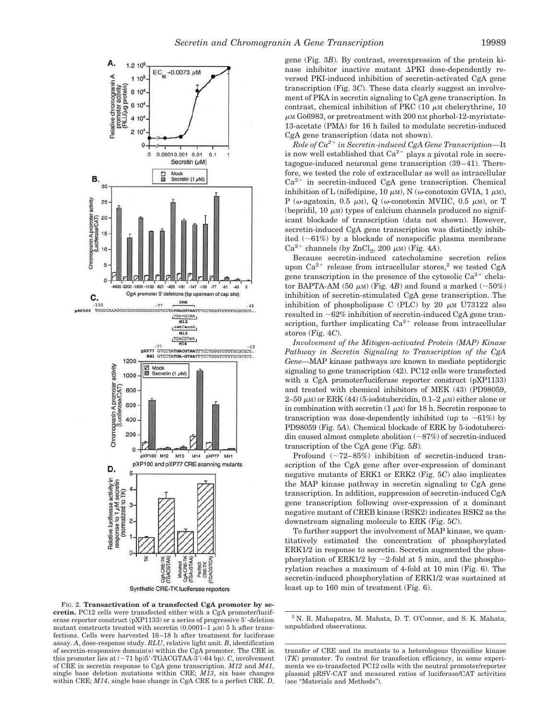

Synthetic CRE-TK luciferase reporters

FIG. 2. **Transactivation of a transfected CgA promoter by secretin.** PC12 cells were transfected either with a CgA promoter/luciferase reporter construct (pXP1133) or a series of progressive 5'-deletion mutant constructs treated with secretin  $(0.0001-1 \mu M)$  5 h after transfections. Cells were harvested 16–18 h after treatment for luciferase assay. *A*, dose-response study. *RLU*, relative light unit. *B*, identification of secretin-responsive domain(s) within the CgA promoter. The CRE in this promoter lies at  $(-71 \text{ bp})5'$ -TGACGTAA-3'( $-64 \text{ bp}$ ). *C*, involvement of CRE in secretin response to CgA gene transcription. *M12* and *M41*, single base deletion mutations within CRE; *M13*, six base changes within CRE; *M14*, single base change in CgA CRE to a perfect CRE. *D*,

gene (Fig. 3*B*). By contrast, overexpression of the protein kinase inhibitor inactive mutant  $\Delta$ PKI dose-dependently reversed PKI-induced inhibition of secretin-activated CgA gene transcription (Fig. 3*C*). These data clearly suggest an involvement of PKA in secretin signaling to CgA gene transcription. In contrast, chemical inhibition of PKC  $(10 \mu)$  chelerythrine, 10  $\mu$ M Gö6983, or pretreatment with 200 nm phorbol-12-myristate-13-acetate (PMA) for 16 h failed to modulate secretin-induced CgA gene transcription (data not shown).

*Role of Ca2 in Secretin-induced CgA Gene Transcription—*It is now well established that  $Ca^{2+}$  plays a pivotal role in secretagogue-induced neuronal gene transcription (39–41). Therefore, we tested the role of extracellular as well as intracellular  $Ca<sup>2+</sup>$  in secretin-induced CgA gene transcription. Chemical inhibition of L (nifedipine, 10  $\mu$ m), N ( $\omega$ -conotoxin GVIA, 1  $\mu$ m), P ( $\omega$ -agatoxin, 0.5  $\mu$ M), Q ( $\omega$ -conotoxin MVIIC, 0.5  $\mu$ M), or T  $(bepridil, 10 \mu M)$  types of calcium channels produced no significant blockade of transcription (data not shown). However, secretin-induced CgA gene transcription was distinctly inhibited  $(-61%)$  by a blockade of nonspecific plasma membrane  $Ca^{2+}$  channels (by ZnCl<sub>2</sub>, 200  $\mu$ M) (Fig. 4A).

Because secretin-induced catecholamine secretion relies upon  $Ca^{2+}$  release from intracellular stores,<sup>2</sup> we tested CgA gene transcription in the presence of the cytosolic  $Ca^{2+}$  chelator BAPTA-AM (50  $\mu$ m) (Fig. 4*B*) and found a marked (~50%) inhibition of secretin-stimulated CgA gene transcription. The inhibition of phospholipase C (PLC) by 20  $\mu$ M U73122 also resulted in  $~62\%$  inhibition of secretin-induced CgA gene transcription, further implicating  $Ca^{2+}$  release from intracellular stores (Fig. 4*C*).

*Involvement of the Mitogen-activated Protein (MAP) Kinase Pathway in Secretin Signaling to Transcription of the CgA Gene—*MAP kinase pathways are known to mediate peptidergic signaling to gene transcription (42). PC12 cells were transfected with a CgA promoter/luciferase reporter construct (pXP1133) and treated with chemical inhibitors of MEK (43) (PD98059, 2–50  $\mu$ M) or ERK (44) (5-iodotubercidin, 0.1–2  $\mu$ M) either alone or in combination with secretin  $(1 \mu M)$  for 18 h. Secretin response to transcription was dose-dependently inhibited (up to  $~61\%$ ) by PD98059 (Fig. 5*A*). Chemical blockade of ERK by 5-iodotubercidin caused almost complete abolition  $(\sim 87\%)$  of secretin-induced transcription of the CgA gene (Fig. 5*B*).

Profound  $(\sim 72-85%)$  inhibition of secretin-induced transcription of the CgA gene after over-expression of dominant negative mutants of ERK1 or ERK2 (Fig. 5*C*) also implicates the MAP kinase pathway in secretin signaling to CgA gene transcription. In addition, suppression of secretin-induced CgA gene transcription following over-expression of a dominant negative mutant of CREB kinase (RSK2) indicates RSK2 as the downstream signaling molecule to ERK (Fig. 5*C*).

To further support the involvement of MAP kinase, we quantitatively estimated the concentration of phosphorylated ERK1/2 in response to secretin. Secretin augmented the phosphorylation of ERK1/2 by  $\sim$ 2-fold at 5 min, and the phosphorylation reaches a maximum of 4-fold at 10 min (Fig. 6). The secretin-induced phosphorylation of ERK1/2 was sustained at least up to 160 min of treatment (Fig. 6).

<sup>2</sup> N. R. Mahapatra, M. Mahata, D. T. O'Connor, and S. K. Mahata, unpublished observations.

transfer of CRE and its mutants to a heterologous thymidine kinase (*TK*) promoter. To control for transfection efficiency, in some experiments we co-transfected PC12 cells with the neutral promoter/reporter plasmid pRSV-CAT and measured ratios of luciferase/CAT activities (see "Materials and Methods").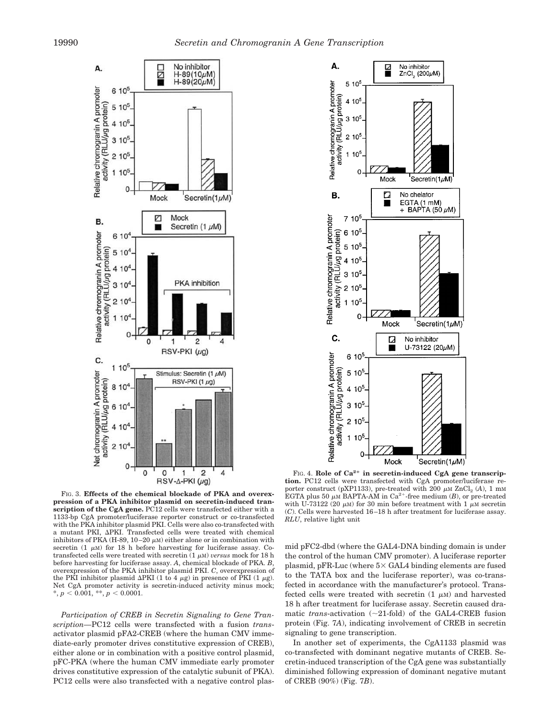



FIG. 3. **Effects of the chemical blockade of PKA and overexpression of a PKA inhibitor plasmid on secretin-induced transcription of the CgA gene.** PC12 cells were transfected either with a 1133-bp CgA promoter/luciferase reporter construct or co-transfected with the PKA inhibitor plasmid PKI. Cells were also co-transfected with a mutant PKI,  $\Delta$ PKI. Transfected cells were treated with chemical inhibitors of PKA (H-89, 10–20  $\mu$ M) either alone or in combination with secretin  $(1 \mu M)$  for 18 h before harvesting for luciferase assay. Cotransfected cells were treated with secretin  $(1 \mu M)$  *versus* mock for 18 h before harvesting for luciferase assay. *A*, chemical blockade of PKA. *B*, overexpression of the PKA inhibitor plasmid PKI. *C*, overexpression of the PKI inhibitor plasmid  $\Delta$ PKI (1 to 4  $\mu$ g) in presence of PKI (1  $\mu$ g). Net CgA promoter activity is secretin-induced activity minus mock;  $*, p < 0.001, **, p < 0.0001.$ 

*Participation of CREB in Secretin Signaling to Gene Transcription—*PC12 cells were transfected with a fusion *trans*activator plasmid pFA2-CREB (where the human CMV immediate-early promoter drives constitutive expression of CREB), either alone or in combination with a positive control plasmid, pFC-PKA (where the human CMV immediate early promoter drives constitutive expression of the catalytic subunit of PKA). PC12 cells were also transfected with a negative control plas-

FIG. 4. Role of Ca<sup>2+</sup> in secretin-induced CgA gene transcrip**tion.** PC12 cells were transfected with CgA promoter/luciferase reporter construct (pXP1133), pre-treated with 200  $\mu$ m ZnCl<sub>2</sub> (*A*), 1 mm EGTA plus 50  $\mu$ M BAPTA-AM in Ca<sup>2+</sup>-free medium (*B*), or pre-treated with U-73122 (20  $\mu$ M) for 30 min before treatment with 1  $\mu$ M secretin (*C*). Cells were harvested 16–18 h after treatment for luciferase assay. *RLU*, relative light unit

mid pFC2-dbd (where the GAL4-DNA binding domain is under the control of the human CMV promoter). A luciferase reporter plasmid, pFR-Luc (where  $5 \times$  GAL4 binding elements are fused to the TATA box and the luciferase reporter), was co-transfected in accordance with the manufacturer's protocol. Transfected cells were treated with secretin  $(1 \mu)$  and harvested 18 h after treatment for luciferase assay. Secretin caused dramatic *trans*-activation  $(\sim 21$ -fold) of the GAL4-CREB fusion protein (Fig. 7*A*), indicating involvement of CREB in secretin signaling to gene transcription.

In another set of experiments, the CgA1133 plasmid was co-transfected with dominant negative mutants of CREB. Secretin-induced transcription of the CgA gene was substantially diminished following expression of dominant negative mutant of CREB (90%) (Fig. 7*B*).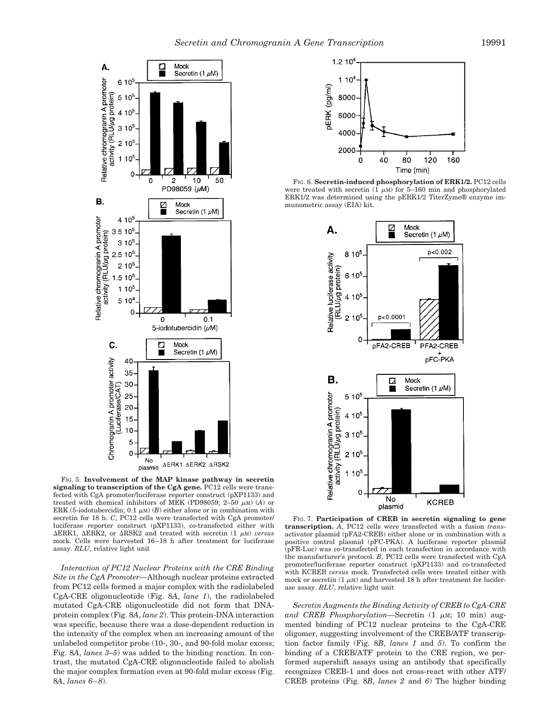

FIG. 5. **Involvement of the MAP kinase pathway in secretin signaling to transcription of the CgA gene.** PC12 cells were transfected with CgA promoter/luciferase reporter construct (pXP1133) and treated with chemical inhibitors of MEK (PD98059;  $2-50 \mu M$ ) (A) or ERK (5-iodotubercidin; 0.1  $\mu$ <sub>M</sub>) (*B*) either alone or in combination with secretin for 18 h. *C*, PC12 cells were transfected with CgA promoter/ luciferase reporter construct (pXP1133), co-transfected either with  $\triangle$ ERK1,  $\triangle$ ERK2, or  $\triangle$ RSK2 and treated with secretin  $(1 \mu)$  *versus* mock. Cells were harvested 16–18 h after treatment for luciferase assay. *RLU*, relative light unit

*Interaction of PC12 Nuclear Proteins with the CRE Binding Site in the CgA Promoter—*Although nuclear proteins extracted from PC12 cells formed a major complex with the radiolabeled CgA-CRE oligonucleotide (Fig. 8*A*, *lane 1*), the radiolabeled mutated CgA-CRE oligonucleotide did not form that DNAprotein complex (Fig. 8*A*, *lane 2*). This protein-DNA interaction was specific, because there was a dose-dependent reduction in the intensity of the complex when an increasing amount of the unlabeled competitor probe (10-, 30-, and 90-fold molar excess; Fig. 8*A*, *lanes 3–5*) was added to the binding reaction. In contrast, the mutated CgA-CRE oligonucleotide failed to abolish the major complex formation even at 90-fold molar excess (Fig. 8*A*, *lanes 6–8*).



FIG. 6. **Secretin-induced phosphorylation of ERK1/2.** PC12 cells were treated with secretin  $(1 \mu M)$  for 5–160 min and phosphorylated ERK1/2 was determined using the pERK1/2 TiterZyme® enzyme immunometric assay (EIA) kit.



FIG. 7. **Participation of CREB in secretin signaling to gene transcription.** *A*, PC12 cells were transfected with a fusion *trans*activator plasmid (pFA2-CREB) either alone or in combination with a positive control plasmid (pFC-PKA). A luciferase reporter plasmid (pFR-Luc) was co-transfected in each transfection in accordance with the manufacturer's protocol. *B*, PC12 cells were transfected with CgA promoter/luciferase reporter construct (pXP1133) and co-transfected with KCREB *versus* mock. Transfected cells were treated either with mock or secretin  $(1 \mu M)$  and harvested 18 h after treatment for luciferase assay. *RLU*, relative light unit

*Secretin Augments the Binding Activity of CREB to CgA-CRE and CREB Phosphorylation*—Secretin (1 μm; 10 min) augmented binding of PC12 nuclear proteins to the CgA-CRE oligomer, suggesting involvement of the CREB/ATF transcription factor family (Fig. 8*B*, *lanes 1* and *5*). To confirm the binding of a CREB/ATF protein to the CRE region, we performed supershift assays using an antibody that specifically recognizes CREB-1 and does not cross-react with other ATF/ CREB proteins (Fig. 8*B*, *lanes 2* and *6*) The higher binding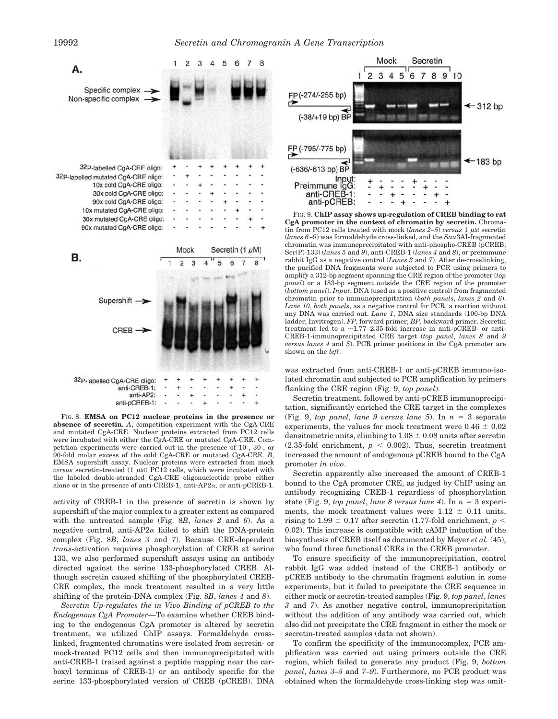

FIG. 8. **EMSA on PC12 nuclear proteins in the presence or absence of secretin.** *A*, competition experiment with the CgA-CRE and mutated CgA-CRE. Nuclear proteins extracted from PC12 cells were incubated with either the CgA-CRE or mutated CgA-CRE. Competition experiments were carried out in the presence of 10-, 30-, or 90-fold molar excess of the cold CgA-CRE or mutated CgA-CRE. *B*, EMSA supershift assay. Nuclear proteins were extracted from mock *versus* secretin-treated  $(1 \mu M)$  PC12 cells, which were incubated with the labeled double-stranded CgA-CRE oligonucleotide probe either alone or in the presence of anti-CREB-1, anti-AP2 $\alpha$ , or anti-pCREB-1.

activity of CREB-1 in the presence of secretin is shown by supershift of the major complex to a greater extent as compared with the untreated sample (Fig. 8*B*, *lanes 2* and *6*). As a negative control, anti-AP2 $\alpha$  failed to shift the DNA-protein complex (Fig. 8*B*, *lanes 3* and *7*). Because CRE-dependent *trans*-activation requires phosphorylation of CREB at serine 133, we also performed supershift assays using an antibody directed against the serine 133-phosphorylated CREB. Although secretin caused shifting of the phosphorylated CREB-CRE complex, the mock treatment resulted in a very little shifting of the protein-DNA complex (Fig. 8*B*, *lanes 4* and *8*).

*Secretin Up-regulates the in Vivo Binding of pCREB to the Endogenous CgA Promoter—*To examine whether CREB binding to the endogenous CgA promoter is altered by secretin treatment, we utilized ChIP assays. Formaldehyde crosslinked, fragmented chromatins were isolated from secretin- or mock-treated PC12 cells and then immunoprecipitated with anti-CREB-1 (raised against a peptide mapping near the carboxyl terminus of CREB-1) or an antibody specific for the serine 133-phosphorylated version of CREB (pCREB). DNA



FIG. 9. **ChIP assay shows up-regulation of CREB binding to rat CgA promoter in the context of chromatin by secretin.** Chromatin from PC12 cells treated with mock  $(lanes\ 2-5)$  *versus* 1  $\mu$ M secretin (*lanes 6–9*) was formaldehyde cross-linked, and the *Sau*3AI-fragmented chromatin was immunoprecipitated with anti-phospho-CREB (pCREB; Ser(P)-133) (*lanes 5* and *9*), anti-CREB-1 (*lanes 4* and *8*), or preimmune rabbit IgG as a negative control (*Lanes 3* and *7*). After de-crosslinking, the purified DNA fragments were subjected to PCR using primers to amplify a 312-bp segment spanning the CRE region of the promoter (*top panel*) or a 183-bp segment outside the CRE region of the promoter (*bottom panel*). *Input*, DNA (used as a positive control) from fragmented chromatin prior to immunoprecipitation (*both panels*, *lanes 2* and *6*). *Lane 10*, *both panels*, as a negative control for PCR, a reaction without any DNA was carried out. *Lane 1*, DNA size standards (100-bp DNA ladder; Invitrogen). *FP*, forward primer; *BP*, backward primer. Secretin treatment led to a  $\sim$  1.77–2.35-fold increase in anti-pCREB- or anti-CREB-1-immunoprecipitated CRE target (*top panel*, *lanes 8* and *9 versus lanes 4* and *5*). PCR primer positions in the CgA promoter are shown on the *left*.

was extracted from anti-CREB-1 or anti-pCREB immuno-isolated chromatin and subjected to PCR amplification by primers flanking the CRE region (Fig. 9, *top panel*).

Secretin treatment, followed by anti-pCREB immunoprecipitation, significantly enriched the CRE target in the complexes (Fig. 9, *top panel*, *lane* 9 versus *lane* 5). In  $n = 3$  separate experiments, the values for mock treatment were  $0.46 \pm 0.02$ densitometric units, climbing to  $1.08 \pm 0.08$  units after secretin  $(2.35\text{-}fold$  enrichment,  $p < 0.002$ ). Thus, secretin treatment increased the amount of endogenous pCREB bound to the CgA promoter *in vivo*.

Secretin apparently also increased the amount of CREB-1 bound to the CgA promoter CRE, as judged by ChIP using an antibody recognizing CREB-1 regardless of phosphorylation state (Fig. 9, *top panel*, *lane 8 versus lane 4*). In  $n = 3$  experiments, the mock treatment values were  $1.12 \pm 0.11$  units, rising to 1.99  $\pm$  0.17 after secretin (1.77-fold enrichment, *p* < 0.02). This increase is compatible with cAMP induction of the biosynthesis of CREB itself as documented by Meyer *et al.* (45), who found three functional CREs in the CREB promoter.

To ensure specificity of the immunoprecipitation, control rabbit IgG was added instead of the CREB-1 antibody or pCREB antibody to the chromatin fragment solution in some experiments, but it failed to precipitate the CRE sequence in either mock or secretin-treated samples (Fig. 9, *top panel*, *lanes 3* and *7*). As another negative control, immunoprecipitation without the addition of any antibody was carried out, which also did not precipitate the CRE fragment in either the mock or secretin-treated samples (data not shown).

To confirm the specificity of the immunocomplex, PCR amplification was carried out using primers outside the CRE region, which failed to generate any product (Fig. 9, *bottom panel*, *lanes 3–5* and *7–9*). Furthermore, no PCR product was obtained when the formaldehyde cross-linking step was omit-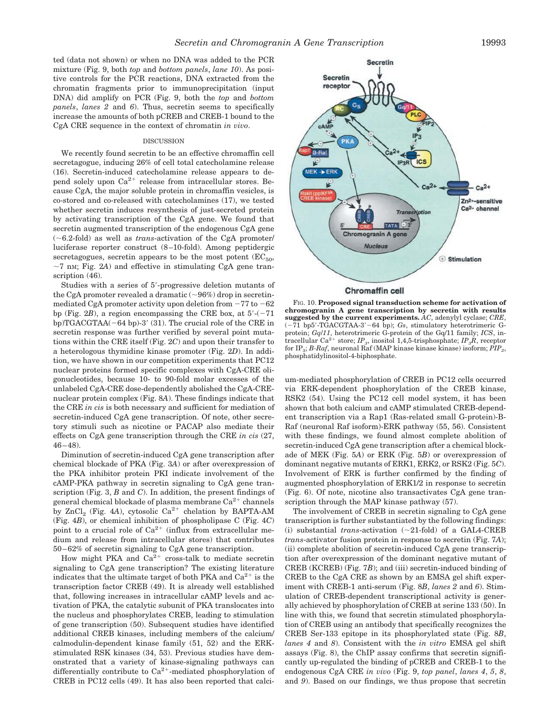ted (data not shown) or when no DNA was added to the PCR mixture (Fig. 9, both *top* and *bottom panels*, *lane 10*). As positive controls for the PCR reactions, DNA extracted from the chromatin fragments prior to immunoprecipitation (input DNA) did amplify on PCR (Fig. 9, both the *top* and *bottom panels*, *lanes 2* and *6*). Thus, secretin seems to specifically increase the amounts of both pCREB and CREB-1 bound to the CgA CRE sequence in the context of chromatin *in vivo*.

### **DISCUSSION**

We recently found secretin to be an effective chromaffin cell secretagogue, inducing 26% of cell total catecholamine release (16). Secretin-induced catecholamine release appears to depend solely upon  $Ca^{2+}$  release from intracellular stores. Because CgA, the major soluble protein in chromaffin vesicles, is co-stored and co-released with catecholamines (17), we tested whether secretin induces resynthesis of just-secreted protein by activating transcription of the CgA gene. We found that secretin augmented transcription of the endogenous CgA gene  $(-6.2\text{-fold})$  as well as *trans*-activation of the CgA promoter/ luciferase reporter construct (8–10-fold). Among peptidergic secretagogues, secretin appears to be the most potent  $(EC_{50},$  $\sim$ 7 nM; Fig. 2A) and effective in stimulating CgA gene transcription  $(46)$ .

Studies with a series of 5'-progressive deletion mutants of the CgA promoter revealed a dramatic  $(\sim 96\%)$  drop in secretinmediated CgA promoter activity upon deletion from  $-77$  to  $-62$ bp (Fig.  $2B$ ), a region encompassing the CRE box, at  $5'$ - $(-71)$ bp)TGACGTAA(-64 bp)-3' (31). The crucial role of the CRE in secretin response was further verified by several point mutations within the CRE itself (Fig. 2*C*) and upon their transfer to a heterologous thymidine kinase promoter (Fig. 2*D*). In addition, we have shown in our competition experiments that PC12 nuclear proteins formed specific complexes with CgA-CRE oligonucleotides, because 10- to 90-fold molar excesses of the unlabeled CgA-CRE dose-dependently abolished the CgA-CREnuclear protein complex (Fig. 8*A*). These findings indicate that the CRE *in cis* is both necessary and sufficient for mediation of secretin-induced CgA gene transcription. Of note, other secretory stimuli such as nicotine or PACAP also mediate their effects on CgA gene transcription through the CRE *in cis* (27, 46–48).

Diminution of secretin-induced CgA gene transcription after chemical blockade of PKA (Fig. 3*A*) or after overexpression of the PKA inhibitor protein PKI indicate involvement of the cAMP-PKA pathway in secretin signaling to CgA gene transcription (Fig. 3, *B* and *C*). In addition, the present findings of general chemical blockade of plasma membrane Ca<sup>2+</sup> channels by  $ZnCl_2$  (Fig. 4A), cytosolic  $Ca^{2+}$  chelation by BAPTA-AM (Fig. 4*B*), or chemical inhibition of phospholipase C (Fig. 4*C*) point to a crucial role of  $Ca^{2+}$  (influx from extracellular medium and release from intracellular stores) that contributes 50–62% of secretin signaling to CgA gene transcription.

How might PKA and  $Ca^{2+}$  cross-talk to mediate secretin signaling to CgA gene transcription? The existing literature indicates that the ultimate target of both PKA and  $Ca^{2+}$  is the transcription factor CREB (49). It is already well established that, following increases in intracellular cAMP levels and activation of PKA, the catalytic subunit of PKA translocates into the nucleus and phosphorylates CREB, leading to stimulation of gene transcription (50). Subsequent studies have identified additional CREB kinases, including members of the calcium/ calmodulin-dependent kinase family (51, 52) and the ERKstimulated RSK kinases (34, 53). Previous studies have demonstrated that a variety of kinase-signaling pathways can differentially contribute to  $Ca^{2+}$ -mediated phosphorylation of CREB in PC12 cells (49). It has also been reported that calci-



FIG. 10. **Proposed signal transduction scheme for activation of chromogranin A gene transcription by secretin with results suggested by the current experiments.** *AC*, adenylyl cyclase; *CRE*, (71 bp5--TGACGTAA-3-64 bp); *Gs*, stimulatory heterotrimeric Gprotein; *Gq*/*11*, heterotrimeric G-protein of the Gq/11 family; *ICS*, intracellular  $Ca^{2+}$  store;  $IP_3$ , inositol 1,4,5-trisphosphate;  $IP_3R$ , receptor for IP<sup>3</sup> ; *B-Raf*, neuronal Raf (MAP kinase kinase kinase) isoform; *PIP<sup>2</sup>* , phosphatidylinositol-4-biphosphate.

um-mediated phosphorylation of CREB in PC12 cells occurred via ERK-dependent phosphorylation of the CREB kinase, RSK2 (54). Using the PC12 cell model system, it has been shown that both calcium and cAMP stimulated CREB-dependent transcription via a Rap1 (Ras-related small G-protein)-B-Raf (neuronal Raf isoform)-ERK pathway (55, 56). Consistent with these findings, we found almost complete abolition of secretin-induced CgA gene transcription after a chemical blockade of MEK (Fig. 5*A*) or ERK (Fig. 5*B*) or overexpression of dominant negative mutants of ERK1, ERK2, or RSK2 (Fig. 5*C*). Involvement of ERK is further confirmed by the finding of augmented phosphorylation of ERK1/2 in response to secretin (Fig. 6). Of note, nicotine also transactivates CgA gene transcription through the MAP kinase pathway (57).

The involvement of CREB in secretin signaling to CgA gene transcription is further substantiated by the following findings: (i) substantial *trans*-activation  $(\sim 21$ -fold) of a GAL4-CREB *trans*-activator fusion protein in response to secretin (Fig. 7*A*); (ii) complete abolition of secretin-induced CgA gene transcription after overexpression of the dominant negative mutant of CREB (KCREB) (Fig. 7*B*); and (iii) secretin-induced binding of CREB to the CgA CRE as shown by an EMSA gel shift experiment with CREB-1 anti-serum (Fig. 8*B*, *lanes 2* and *6*). Stimulation of CREB-dependent transcriptional activity is generally achieved by phosphorylation of CREB at serine 133 (50). In line with this, we found that secretin stimulated phosphorylation of CREB using an antibody that specifically recognizes the CREB Ser-133 epitope in its phosphorylated state (Fig. 8*B*, *lanes 4* and *8*). Consistent with the *in vitro* EMSA gel shift assays (Fig. 8), the ChIP assay confirms that secretin significantly up-regulated the binding of pCREB and CREB-1 to the endogenous CgA CRE *in vivo* (Fig. 9, *top panel*, *lanes 4*, *5*, *8*, and *9*). Based on our findings, we thus propose that secretin